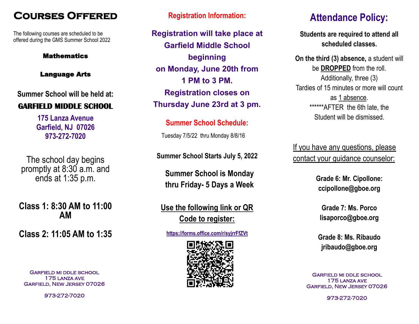# **COURSES OFFERED** Registration Information:

The following courses are scheduled to be offered during the GMS Summer School 2022

#### **Mathematics**

#### Language Arts

**Summer School will be held at:**

#### **GARFIELD MIDDLE SCHOOL**

**175 Lanza Avenue Garfield, NJ 07026 973-272-7020**

The school day begins promptly at 8:30 a.m. and ends at 1:35 p.m.

**Class 1: 8:30 AM to 11:00 AM**

**Class 2: 11:05 AM to 1:35** 

Garfield mi ddle school 175 lanza ave Garfield, New Jersey 07026

973-272-7020

**Registration will take place at Garfield Middle School beginning on Monday, June 20th from 1 PM to 3 PM. Registration closes on Thursday June 23rd at 3 pm.**

**Summer School Schedule:** Tuesday 7/5/22 thru Monday 8/8/16

**Summer School Starts July 5, 2022**

**Summer School is Monday thru Friday- 5 Days a Week**

## **Use the following link or QR Code to register:**

**https://forms.office.com/r/syjrrFfZVt**



# **Attendance Policy:**

**Students are required to attend all scheduled classes.** 

**On the third (3) absence, a student will** be **DROPPED** from the roll. Additionally, three (3) Tardies of 15 minutes or more will count as 1 absence. \*\*\*\*\*\*AFTER the 6th late, the Student will be dismissed.

If you have any questions, please contact your guidance counselor:

> **Grade 6: Mr. Cipollone: ccipollone@gboe.org**

**Grade 7: Ms. Porco lisaporco@gboe.org**

**Grade 8: Ms. Ribaudo jribaudo@gboe.org**

Garfield mi ddle school 175 lanza ave Garfield, New Jersey 07026

973-272-7020